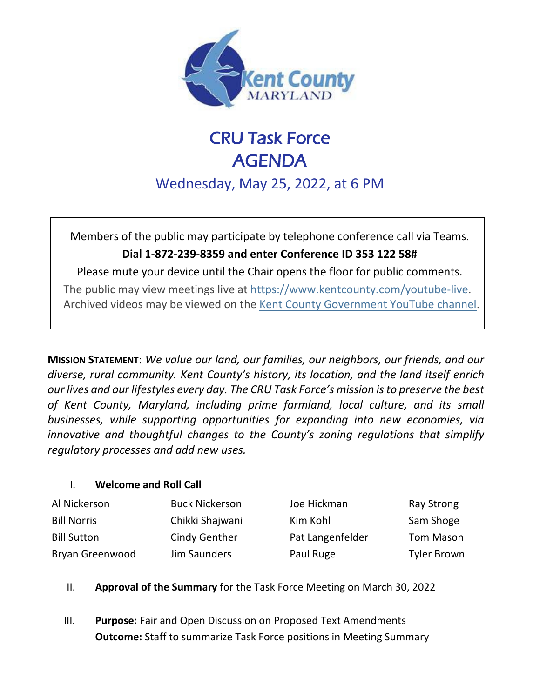

# CRU Task Force AGENDA

Wednesday, May 25, 2022, at 6 PM

Members of the public may participate by telephone conference call via Teams. **Dial 1-872-239-8359 and enter Conference ID 353 122 58#**

Please mute your device until the Chair opens the floor for public comments. The public may view meetings live at<https://www.kentcounty.com/youtube-live>[.](https://www.kentcounty.com/commissioners/meeting-live-video) Archived videos may be viewed on the [Kent County Government YouTube channel.](http://www.youtube.com/channel/UC0yKjE56rAaEE7JwAKPC47A/live)

**MISSION STATEMENT**: *We value our land, our families, our neighbors, our friends, and our diverse, rural community. Kent County's history, its location, and the land itself enrich our lives and our lifestyles every day. The CRU Task Force's mission is to preserve the best of Kent County, Maryland, including prime farmland, local culture, and its small businesses, while supporting opportunities for expanding into new economies, via innovative and thoughtful changes to the County's zoning regulations that simplify regulatory processes and add new uses.*

### I. **Welcome and Roll Call**

| Al Nickerson       | <b>Buck Nickerson</b> | Joe Hickman      | <b>Ray Strong</b>  |
|--------------------|-----------------------|------------------|--------------------|
| <b>Bill Norris</b> | Chikki Shajwani       | Kim Kohl         | Sam Shoge          |
| <b>Bill Sutton</b> | <b>Cindy Genther</b>  | Pat Langenfelder | <b>Tom Mason</b>   |
| Bryan Greenwood    | Jim Saunders          | Paul Ruge        | <b>Tyler Brown</b> |

- II. **Approval of the Summary** for the Task Force Meeting on March 30, 2022
- III. **Purpose:** Fair and Open Discussion on Proposed Text Amendments **Outcome:** Staff to summarize Task Force positions in Meeting Summary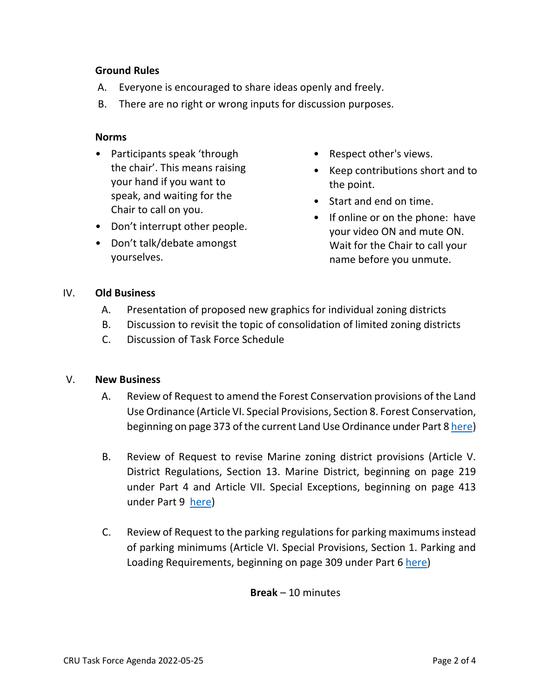#### **Ground Rules**

- A. Everyone is encouraged to share ideas openly and freely.
- B. There are no right or wrong inputs for discussion purposes.

#### **Norms**

- Participants speak 'through the chair'. This means raising your hand if you want to speak, and waiting for the Chair to call on you.
- Don't interrupt other people.
- Don't talk/debate amongst yourselves.
- Respect other's views.
- Keep contributions short and to the point.
- Start and end on time.
- If online or on the phone: have your video ON and mute ON. Wait for the Chair to call your name before you unmute.

#### IV. **Old Business**

- A. Presentation of proposed new graphics for individual zoning districts
- B. Discussion to revisit the topic of consolidation of limited zoning districts
- C. Discussion of Task Force Schedule

#### V. **New Business**

- A. Review of Request to amend the Forest Conservation provisions of the Land Use Ordinance (Article VI. Special Provisions, Section 8. Forest Conservation, beginning on page 373 of the current Land Use Ordinance under Part 8 [here\)](https://www.kentcounty.com/planning/land-use-contents)
- B. Review of Request to revise Marine zoning district provisions (Article V. District Regulations, Section 13. Marine District, beginning on page 219 under Part 4 and Article VII. Special Exceptions, beginning on page 413 under Part 9 [here\)](https://www.kentcounty.com/planning/land-use-contents)
- C. Review of Request to the parking regulations for parking maximums instead of parking minimums (Article VI. Special Provisions, Section 1. Parking and Loading Requirements, beginning on page 309 under Part 6 [here\)](https://www.kentcounty.com/planning/land-use-contents)

#### **Break** – 10 minutes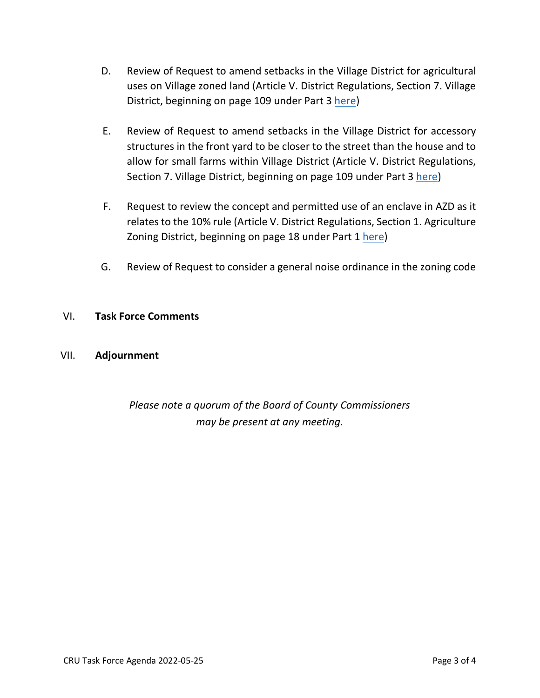- D. Review of Request to amend setbacks in the Village District for agricultural uses on Village zoned land (Article V. District Regulations, Section 7. Village District, beginning on page 109 under Part 3 [here\)](https://www.kentcounty.com/planning/land-use-contents)
- E. Review of Request to amend setbacks in the Village District for accessory structures in the front yard to be closer to the street than the house and to allow for small farms within Village District (Article V. District Regulations, Section 7. Village District, beginning on page 109 under Part 3 [here\)](https://www.kentcounty.com/planning/land-use-contents)
- F. Request to review the concept and permitted use of an enclave in AZD as it relates to the 10% rule (Article V. District Regulations, Section 1. Agriculture Zoning District, beginning on page 18 under Part 1 [here\)](https://www.kentcounty.com/planning/land-use-contents)
- G. Review of Request to consider a general noise ordinance in the zoning code

#### VI. **Task Force Comments**

#### VII. **Adjournment**

## *Please note a quorum of the Board of County Commissioners may be present at any meeting.*